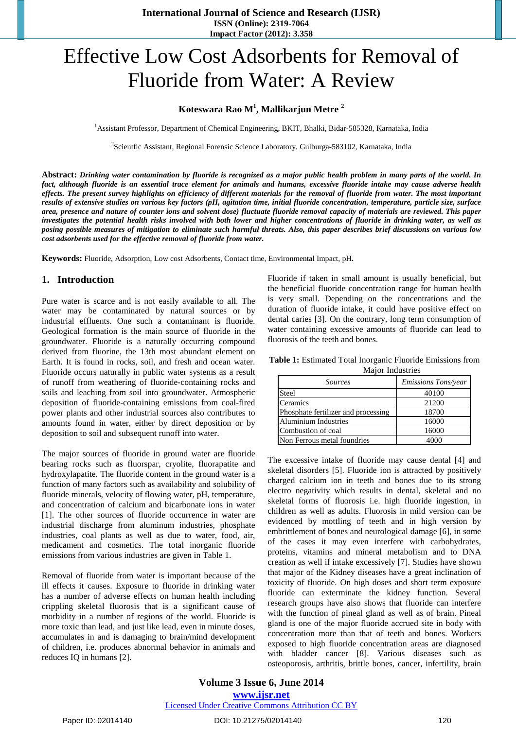# Effective Low Cost Adsorbents for Removal of Fluoride from Water: A Review

# **Koteswara Rao M<sup>1</sup> , Mallikarjun Metre <sup>2</sup>**

<sup>1</sup>Assistant Professor, Department of Chemical Engineering, BKIT, Bhalki, Bidar-585328, Karnataka, India

<sup>2</sup>Scientfic Assistant, Regional Forensic Science Laboratory, Gulburga-583102, Karnataka, India

Abstract: Drinking water contamination by fluoride is recognized as a major public health problem in many parts of the world. In fact, although fluoride is an essential trace element for animals and humans, excessive fluoride intake may cause adverse health effects. The present survey highlights on efficiency of different materials for the removal of fluoride from water. The most important results of extensive studies on various key factors (pH, agitation time, initial fluoride concentration, temperature, particle size, surface area, presence and nature of counter ions and solvent dose) fluctuate fluoride removal capacity of materials are reviewed. This paper investigates the potential health risks involved with both lower and higher concentrations of fluoride in drinking water, as well as posing possible measures of mitigation to eliminate such harmful threats. Also, this paper describes brief discussions on various low *cost adsorbents used for the effective removal of fluoride from water.*

**Keywords:** Fluoride, Adsorption, Low cost Adsorbents, Contact time, Environmental Impact, pH**.**

## **1. Introduction**

Pure water is scarce and is not easily available to all. The water may be contaminated by natural sources or by industrial effluents. One such a contaminant is fluoride. Geological formation is the main source of fluoride in the groundwater. Fluoride is a naturally occurring compound derived from fluorine, the 13th most abundant element on Earth. It is found in rocks, soil, and fresh and ocean water. Fluoride occurs naturally in public water systems as a result of runoff from weathering of fluoride-containing rocks and soils and leaching from soil into groundwater. Atmospheric deposition of fluoride-containing emissions from coal-fired power plants and other industrial sources also contributes to amounts found in water, either by direct deposition or by deposition to soil and subsequent runoff into water.

The major sources of fluoride in ground water are fluoride bearing rocks such as fluorspar, cryolite, fluorapatite and hydroxylapatite. The fluoride content in the ground water is a function of many factors such as availability and solubility of fluoride minerals, velocity of flowing water, pH, temperature, and concentration of calcium and bicarbonate ions in water [1]. The other sources of fluoride occurrence in water are industrial discharge from aluminum industries, phosphate industries, coal plants as well as due to water, food, air, medicament and cosmetics. The total inorganic fluoride emissions from various industries are given in Table 1.

Removal of fluoride from water is important because of the ill effects it causes. Exposure to fluoride in drinking water has a number of adverse effects on human health including crippling skeletal fluorosis that is a significant cause of morbidity in a number of regions of the world. Fluoride is more toxic than lead, and just like lead, even in minute doses, accumulates in and is damaging to brain/mind development of children, i.e. produces abnormal behavior in animals and reduces IQ in humans [2].

Fluoride if taken in small amount is usually beneficial, but the beneficial fluoride concentration range for human health is very small. Depending on the concentrations and the duration of fluoride intake, it could have positive effect on dental caries [3]. On the contrary, long term consumption of water containing excessive amounts of fluoride can lead to fluorosis of the teeth and bones.

**Table 1:** Estimated Total Inorganic Fluoride Emissions from Major Industries

| <i>Sources</i>                      | Emissions Tons/year |
|-------------------------------------|---------------------|
| <b>Steel</b>                        | 40100               |
| Ceramics                            | 21200               |
| Phosphate fertilizer and processing | 18700               |
| <b>Aluminium Industries</b>         | 16000               |
| Combustion of coal                  | 16000               |
| Non Ferrous metal foundries         |                     |

The excessive intake of fluoride may cause dental [4] and skeletal disorders [5]. Fluoride ion is attracted by positively charged calcium ion in teeth and bones due to its strong electro negativity which results in dental, skeletal and no skeletal forms of fluorosis i.e. high fluoride ingestion, in children as well as adults. Fluorosis in mild version can be evidenced by mottling of teeth and in high version by embrittlement of bones and neurological damage [6], in some of the cases it may even interfere with carbohydrates, proteins, vitamins and mineral metabolism and to DNA creation as well if intake excessively [7]. Studies have shown that major of the Kidney diseases have a great inclination of toxicity of fluoride. On high doses and short term exposure fluoride can exterminate the kidney function. Several research groups have also shows that fluoride can interfere with the function of pineal gland as well as of brain. Pineal gland is one of the major fluoride accrued site in body with concentration more than that of teeth and bones. Workers exposed to high fluoride concentration areas are diagnosed with bladder cancer [8]. Various diseases such as osteoporosis, arthritis, brittle bones, cancer, infertility, brain

**www.ijsr.net** Licensed Under Creative Commons Attribution CC BY

Paper ID: 02014140 **DOI: 10.21275/02014140** 120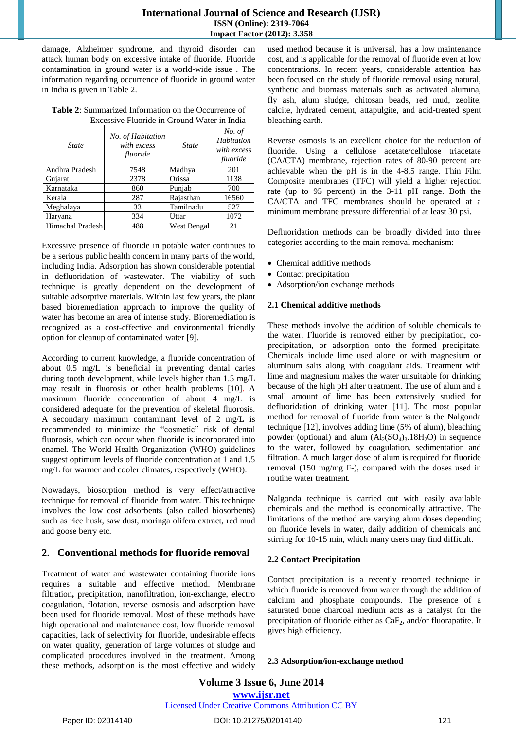damage, Alzheimer syndrome, and thyroid disorder can attack human body on excessive intake of fluoride. Fluoride contamination in ground water is a world-wide issue . The information regarding occurrence of fluoride in ground water in India is given in Table 2.

| <b>Table 2:</b> Summarized Information on the Occurrence of |
|-------------------------------------------------------------|
| Excessive Fluoride in Ground Water in India                 |

| <b>State</b>     | No. of Habitation<br>with excess<br>fluoride | <b>State</b> | No. of<br>Habitation<br>with excess<br>fluoride |
|------------------|----------------------------------------------|--------------|-------------------------------------------------|
| Andhra Pradesh   | 7548                                         | Madhya       | 201                                             |
| Gujarat          | 2378                                         | Orissa       | 1138                                            |
| Karnataka        | 860                                          | Punjab       | 700                                             |
| Kerala           | 287                                          | Rajasthan    | 16560                                           |
| Meghalaya        | 33                                           | Tamilnadu    | 527                                             |
| Haryana          | 334                                          | Uttar        | 1072                                            |
| Himachal Pradesh | 488                                          | West Bengal  | 21                                              |

Excessive presence of fluoride in potable water continues to be a serious public health concern in many parts of the world, including India. Adsorption has shown considerable potential in defluoridation of wastewater. The viability of such technique is greatly dependent on the development of suitable adsorptive materials. Within last few years, the plant based bioremediation approach to improve the quality of water has become an area of intense study. Bioremediation is recognized as a cost-effective and environmental friendly option for cleanup of contaminated water [9].

According to current knowledge, a fluoride concentration of about 0.5 mg/L is beneficial in preventing dental caries during tooth development, while levels higher than 1.5 mg/L may result in fluorosis or other health problems [10]. A maximum fluoride concentration of about 4 mg/L is considered adequate for the prevention of skeletal fluorosis. A secondary maximum contaminant level of 2 mg/L is recommended to minimize the "cosmetic" risk of dental fluorosis, which can occur when fluoride is incorporated into enamel. The World Health Organization (WHO) guidelines suggest optimum levels of fluoride concentration at 1 and 1.5 mg/L for warmer and cooler climates, respectively (WHO).

Nowadays, biosorption method is very effect/attractive technique for removal of fluoride from water. This technique involves the low cost adsorbents (also called biosorbents) such as rice husk, saw dust, moringa olifera extract, red mud and goose berry etc.

# **2. Conventional methods for fluoride removal**

Treatment of water and wastewater containing fluoride ions requires a suitable and effective method. Membrane filtration**,** precipitation, nanofiltration, ion-exchange, electro coagulation, flotation, reverse osmosis and adsorption have been used for fluoride removal. Most of these methods have high operational and maintenance cost, low fluoride removal capacities, lack of selectivity for fluoride, undesirable effects on water quality, generation of large volumes of sludge and complicated procedures involved in the treatment. Among these methods, adsorption is the most effective and widely

used method because it is universal, has a low maintenance cost, and is applicable for the removal of fluoride even at low concentrations. In recent years, considerable attention has been focused on the study of fluoride removal using natural, synthetic and biomass materials such as activated alumina, fly ash, alum sludge, chitosan beads, red mud, zeolite, calcite, hydrated cement, attapulgite, and acid-treated spent bleaching earth.

Reverse osmosis is an excellent choice for the reduction of fluoride. Using a cellulose acetate/cellulose triacetate (CA/CTA) membrane, rejection rates of 80-90 percent are achievable when the pH is in the 4-8.5 range. Thin Film Composite membranes (TFC) will yield a higher rejection rate (up to 95 percent) in the 3-11 pH range. Both the CA/CTA and TFC membranes should be operated at a minimum membrane pressure differential of at least 30 psi.

Defluoridation methods can be broadly divided into three categories according to the main removal mechanism:

- Chemical additive methods
- Contact precipitation
- Adsorption/ion exchange methods

## **2.1 Chemical additive methods**

These methods involve the addition of soluble chemicals to the water. Fluoride is removed either by precipitation, coprecipitation, or adsorption onto the formed precipitate. Chemicals include lime used alone or with magnesium or aluminum salts along with coagulant aids. Treatment with lime and magnesium makes the water unsuitable for drinking because of the high pH after treatment. The use of alum and a small amount of lime has been extensively studied for defluoridation of drinking water [11]. The most popular method for removal of fluoride from water is the Nalgonda technique [12], involves adding lime (5% of alum), bleaching powder (optional) and alum  $(Al_2(SO_4)_3.18H_2O)$  in sequence to the water, followed by coagulation, sedimentation and filtration. A much larger dose of alum is required for fluoride removal (150 mg/mg F-), compared with the doses used in routine water treatment*.*

Nalgonda technique is carried out with easily available chemicals and the method is economically attractive. The limitations of the method are varying alum doses depending on fluoride levels in water, daily addition of chemicals and stirring for 10-15 min, which many users may find difficult.

## **2.2 Contact Precipitation**

Contact precipitation is a recently reported technique in which fluoride is removed from water through the addition of calcium and phosphate compounds. The presence of a saturated bone charcoal medium acts as a catalyst for the precipitation of fluoride either as  $CaF<sub>2</sub>$ , and/or fluorapatite. It gives high efficiency.

## **2.3 Adsorption/ion-exchange method**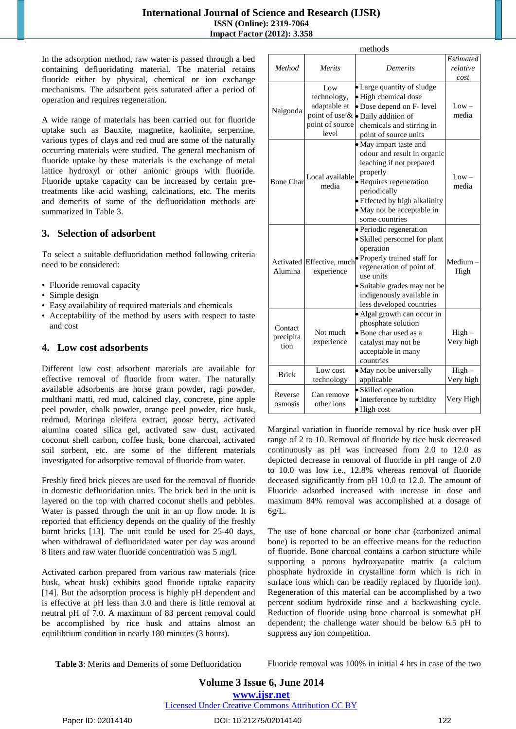In the adsorption method, raw water is passed through a bed containing defluoridating material. The material retains fluoride either by physical, chemical or ion exchange mechanisms. The adsorbent gets saturated after a period of operation and requires regeneration.

A wide range of materials has been carried out for fluoride uptake such as Bauxite, magnetite, kaolinite, serpentine, various types of clays and red mud are some of the naturally occurring materials were studied. The general mechanism of fluoride uptake by these materials is the exchange of metal lattice hydroxyl or other anionic groups with fluoride. Fluoride uptake capacity can be increased by certain pretreatments like acid washing, calcinations, etc. The merits and demerits of some of the defluoridation methods are summarized in Table 3.

# **3. Selection of adsorbent**

To select a suitable defluoridation method following criteria need to be considered:

- Fluoride removal capacity
- Simple design
- Easy availability of required materials and chemicals
- Acceptability of the method by users with respect to taste and cost

# **4. Low cost adsorbents**

Different low cost adsorbent materials are available for effective removal of fluoride from water. The naturally available adsorbents are horse gram powder, ragi powder, multhani matti, red mud, calcined clay, concrete, pine apple peel powder, chalk powder, orange peel powder, rice husk, redmud, Moringa oleifera extract, goose berry, activated alumina coated silica gel, activated saw dust, activated coconut shell carbon, coffee husk, bone charcoal, activated soil sorbent, etc. are some of the different materials investigated for adsorptive removal of fluoride from water.

Freshly fired brick pieces are used for the removal of fluoride in domestic defluoridation units. The brick bed in the unit is layered on the top with charred coconut shells and pebbles. Water is passed through the unit in an up flow mode. It is reported that efficiency depends on the quality of the freshly burnt bricks [13]. The unit could be used for 25-40 days, when withdrawal of defluoridated water per day was around 8 liters and raw water fluoride concentration was 5 mg/l.

Activated carbon prepared from various raw materials (rice husk, wheat husk) exhibits good fluoride uptake capacity [14]. But the adsorption process is highly pH dependent and is effective at pH less than 3.0 and there is little removal at neutral pH of 7.0. A maximum of 83 percent removal could be accomplished by rice husk and attains almost an equilibrium condition in nearly 180 minutes (3 hours).

| methods                      |                                                                |                                                                                                                                                                                                                                                                 |                               |
|------------------------------|----------------------------------------------------------------|-----------------------------------------------------------------------------------------------------------------------------------------------------------------------------------------------------------------------------------------------------------------|-------------------------------|
| Method                       | <b>Merits</b>                                                  | <b>Demerits</b>                                                                                                                                                                                                                                                 | Estimated<br>relative<br>cost |
| Nalgonda                     | Low<br>technology,<br>adaptable at<br>point of source<br>level | • Large quantity of sludge<br>· High chemical dose<br>• Dose depend on F- level<br>point of use $\&$ $\bullet$ Daily addition of<br>chemicals and stirring in<br>point of source units                                                                          | $Low -$<br>media              |
| <b>Bone Char</b>             |                                                                | • May impart taste and<br>odour and result in organic<br>leaching if not prepared<br>properly<br>Local available $\bullet$ Requires regeneration<br>periodically<br>· Effected by high alkalinity<br>· May not be acceptable in<br>some countries               | $Low -$<br>media              |
| Alumina                      | experience                                                     | • Periodic regeneration<br>· Skilled personnel for plant<br>operation<br>Activated Effective, much Properly trained staff for<br>regeneration of point of<br>use units<br>· Suitable grades may not be<br>indigenously available in<br>less developed countries | Medium<br>High                |
| Contact<br>precipita<br>tion | Not much<br>experience                                         | · Algal growth can occur in<br>phosphate solution<br>• Bone char used as a<br>catalyst may not be<br>acceptable in many<br>countries                                                                                                                            | $High -$<br>Very high         |
| <b>Brick</b>                 | Low cost<br>technology                                         | · May not be universally<br>applicable                                                                                                                                                                                                                          | High-<br>Very high            |
| Reverse<br>osmosis           | Can remove<br>other ions                                       | · Skilled operation<br>• Interference by turbidity<br>· High cost                                                                                                                                                                                               | Very High                     |

Marginal variation in fluoride removal by rice husk over pH range of 2 to 10. Removal of fluoride by rice husk decreased continuously as pH was increased from 2.0 to 12.0 as depicted decrease in removal of fluoride in pH range of 2.0 to 10.0 was low i.e., 12.8% whereas removal of fluoride deceased significantly from pH 10.0 to 12.0. The amount of Fluoride adsorbed increased with increase in dose and maximum 84% removal was accomplished at a dosage of 6g/L.

The use of bone charcoal or bone char (carbonized animal bone) is reported to be an effective means for the reduction of fluoride. Bone charcoal contains a carbon structure while supporting a porous hydroxyapatite matrix (a calcium phosphate hydroxide in crystalline form which is rich in surface ions which can be readily replaced by fluoride ion). Regeneration of this material can be accomplished by a two percent sodium hydroxide rinse and a backwashing cycle. Reduction of fluoride using bone charcoal is somewhat pH dependent; the challenge water should be below 6.5 pH to suppress any ion competition.

**Table 3**: Merits and Demerits of some Defluoridation

Fluoride removal was 100% in initial 4 hrs in case of the two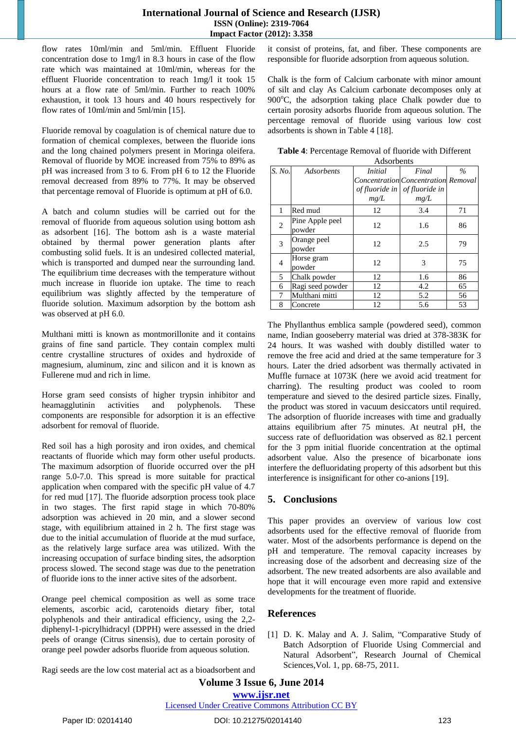## **International Journal of Science and Research (IJSR) ISSN (Online): 2319-7064 Impact Factor (2012): 3.358**

flow rates 10ml/min and 5ml/min. Effluent Fluoride concentration dose to 1mg/l in 8.3 hours in case of the flow rate which was maintained at 10ml/min, whereas for the effluent Fluoride concentration to reach 1mg/l it took 15 hours at a flow rate of 5ml/min. Further to reach 100% exhaustion, it took 13 hours and 40 hours respectively for flow rates of 10ml/min and 5ml/min [15].

Fluoride removal by coagulation is of chemical nature due to formation of chemical complexes, between the fluoride ions and the long chained polymers present in Moringa oleifera. Removal of fluoride by MOE increased from 75% to 89% as pH was increased from 3 to 6. From pH 6 to 12 the Fluoride removal decreased from 89% to 77%. It may be observed that percentage removal of Fluoride is optimum at pH of 6.0.

A batch and column studies will be carried out for the removal of fluoride from aqueous solution using bottom ash as adsorbent [16]. The bottom ash is a waste material obtained by thermal power generation plants after combusting solid fuels. It is an undesired collected material, which is transported and dumped near the surrounding land. The equilibrium time decreases with the temperature without much increase in fluoride ion uptake. The time to reach equilibrium was slightly affected by the temperature of fluoride solution. Maximum adsorption by the bottom ash was observed at pH 6.0.

Multhani mitti is known as montmorillonite and it contains grains of fine sand particle. They contain complex multi centre crystalline structures of oxides and hydroxide of magnesium, aluminum, zinc and silicon and it is known as Fullerene mud and rich in lime.

Horse gram seed consists of higher trypsin inhibitor and heamagglutinin activities and polyphenols. These components are responsible for adsorption it is an effective adsorbent for removal of fluoride.

Red soil has a high porosity and iron oxides, and chemical reactants of fluoride which may form other useful products. The maximum adsorption of fluoride occurred over the pH range 5.0-7.0. This spread is more suitable for practical application when compared with the specific pH value of 4.7 for red mud [17]. The fluoride adsorption process took place in two stages. The first rapid stage in which 70-80% adsorption was achieved in 20 min, and a slower second stage, with equilibrium attained in 2 h. The first stage was due to the initial accumulation of fluoride at the mud surface, as the relatively large surface area was utilized. With the increasing occupation of surface binding sites, the adsorption process slowed. The second stage was due to the penetration of fluoride ions to the inner active sites of the adsorbent.

Orange peel chemical composition as well as some trace elements, ascorbic acid, carotenoids dietary fiber, total polyphenols and their antiradical efficiency, using the 2,2 diphenyl-1-picrylhidracyl (DPPH) were assessed in the dried peels of orange (Citrus sinensis), due to certain porosity of orange peel powder adsorbs fluoride from aqueous solution.

it consist of proteins, fat, and fiber. These components are responsible for fluoride adsorption from aqueous solution.

Chalk is the form of Calcium carbonate with minor amount of silt and clay As Calcium carbonate decomposes only at 900 $^{\circ}$ C, the adsorption taking place Chalk powder due to certain porosity adsorbs fluoride from aqueous solution. The percentage removal of fluoride using various low cost adsorbents is shown in Table 4 [18].

| Table 4: Percentage Removal of fluoride with Different |
|--------------------------------------------------------|
| Adsorbents                                             |

| S. No. | Adsorbents       | <i>Initial</i> | Final                                      | $\frac{0}{0}$ |
|--------|------------------|----------------|--------------------------------------------|---------------|
|        |                  |                | <b>Concentration Concentration Removal</b> |               |
|        |                  |                | of fluoride in of fluoride in              |               |
|        |                  | mg/L           | mg/L                                       |               |
| 1      | Red mud          | 12             | 3.4                                        | 71            |
| 2      | Pine Apple peel  | 12             | 1.6                                        | 86            |
|        | powder           |                |                                            |               |
| 3      | Orange peel      | 12             | 2.5                                        | 79            |
|        | powder           |                |                                            |               |
| 4      | Horse gram       | 12             | 3                                          | 75            |
|        | powder           |                |                                            |               |
| 5      | Chalk powder     | 12             | 1.6                                        | 86            |
| 6      | Ragi seed powder | 12             | 4.2                                        | 65            |
| 7      | Multhani mitti   | 12             | 5.2                                        | 56            |
| 8      | Concrete         | 12             | 5.6                                        | 53            |

The Phyllanthus emblica sample (powdered seed), common name, Indian gooseberry material was dried at 378-383K for 24 hours. It was washed with doubly distilled water to remove the free acid and dried at the same temperature for 3 hours. Later the dried adsorbent was thermally activated in Muffle furnace at 1073K (here we avoid acid treatment for charring). The resulting product was cooled to room temperature and sieved to the desired particle sizes. Finally, the product was stored in vacuum desiccators until required. The adsorption of fluoride increases with time and gradually attains equilibrium after 75 minutes. At neutral pH, the success rate of defluoridation was observed as 82.1 percent for the 3 ppm initial fluoride concentration at the optimal adsorbent value. Also the presence of bicarbonate ions interfere the defluoridating property of this adsorbent but this interference is insignificant for other co-anions [19].

# **5. Conclusions**

This paper provides an overview of various low cost adsorbents used for the effective removal of fluoride from water. Most of the adsorbents performance is depend on the pH and temperature. The removal capacity increases by increasing dose of the adsorbent and decreasing size of the adsorbent. The new treated adsorbents are also available and hope that it will encourage even more rapid and extensive developments for the treatment of fluoride.

# **References**

[1] D. K. Malay and A. J. Salim, "Comparative Study of Batch Adsorption of Fluoride Using Commercial and Natural Adsorbent", Research Journal of Chemical Sciences,Vol. 1, pp. 68-75, 2011.

Ragi seeds are the low cost material act as a bioadsorbent and

**Volume 3 Issue 6, June 2014**

**www.ijsr.net**

Licensed Under Creative Commons Attribution CC BY